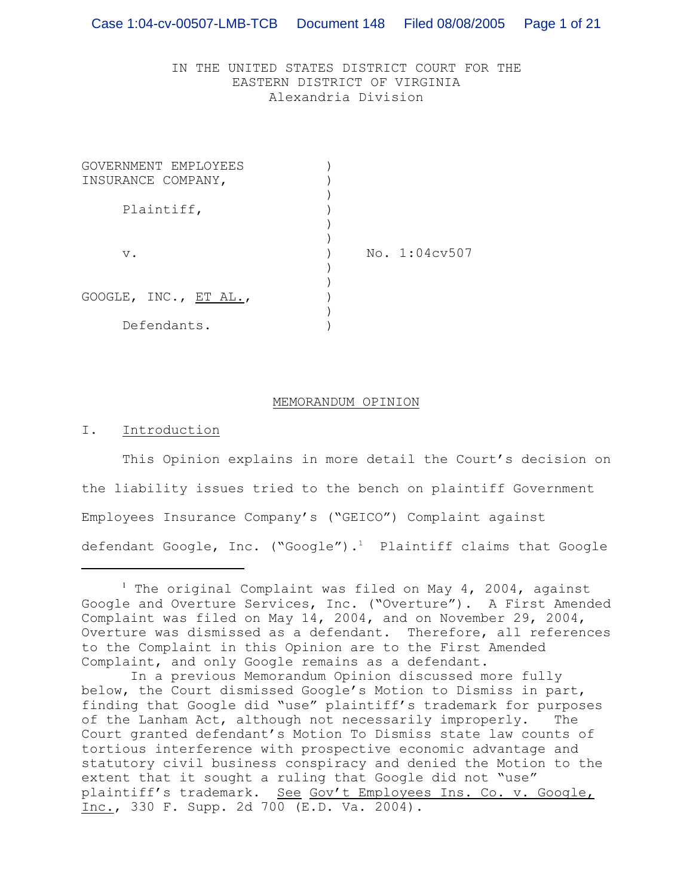# IN THE UNITED STATES DISTRICT COURT FOR THE EASTERN DISTRICT OF VIRGINIA Alexandria Division

| GOVERNMENT EMPLOYEES  |               |  |
|-----------------------|---------------|--|
| INSURANCE COMPANY,    |               |  |
|                       |               |  |
| Plaintiff,            |               |  |
|                       |               |  |
|                       |               |  |
| $V$ .                 | No. 1:04cv507 |  |
|                       |               |  |
|                       |               |  |
| GOOGLE, INC., ET AL., |               |  |
|                       |               |  |
| Defendants.           |               |  |

#### MEMORANDUM OPINION

I. Introduction

This Opinion explains in more detail the Court's decision on the liability issues tried to the bench on plaintiff Government Employees Insurance Company's ("GEICO") Complaint against defendant Google, Inc. ("Google").<sup>1</sup> Plaintiff claims that Google

<sup>&</sup>lt;sup>1</sup> The original Complaint was filed on May 4, 2004, against Google and Overture Services, Inc. ("Overture"). A First Amended Complaint was filed on May 14, 2004, and on November 29, 2004, Overture was dismissed as a defendant. Therefore, all references to the Complaint in this Opinion are to the First Amended Complaint, and only Google remains as a defendant.

In a previous Memorandum Opinion discussed more fully below, the Court dismissed Google's Motion to Dismiss in part, finding that Google did "use" plaintiff's trademark for purposes of the Lanham Act, although not necessarily improperly. The Court granted defendant's Motion To Dismiss state law counts of tortious interference with prospective economic advantage and statutory civil business conspiracy and denied the Motion to the extent that it sought a ruling that Google did not "use" plaintiff's trademark. See Gov't Employees Ins. Co. v. Google, Inc., 330 F. Supp. 2d 700 (E.D. Va. 2004).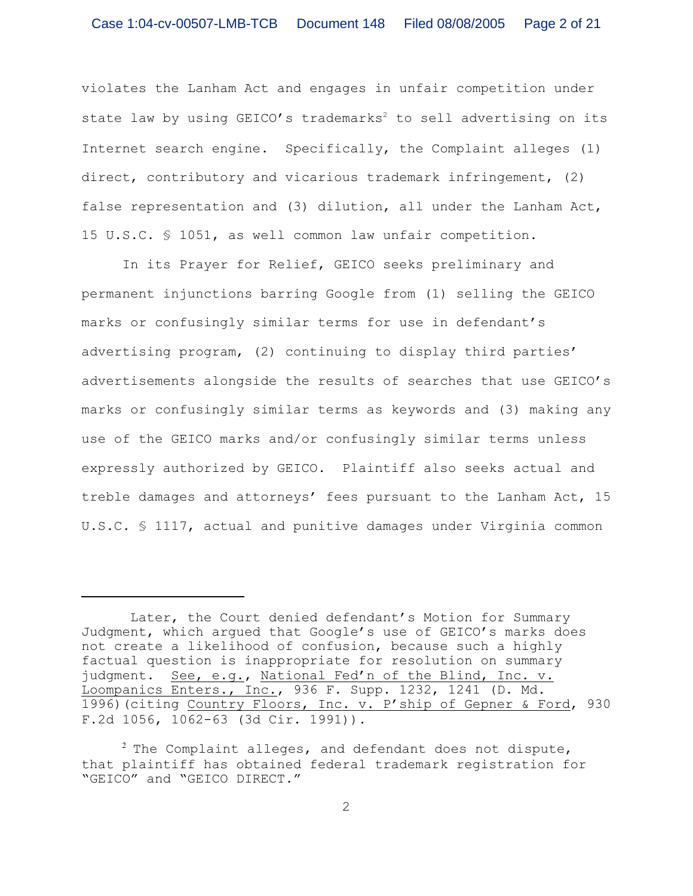violates the Lanham Act and engages in unfair competition under state law by using GEICO's trademarks<sup>2</sup> to sell advertising on its Internet search engine. Specifically, the Complaint alleges (1) direct, contributory and vicarious trademark infringement, (2) false representation and (3) dilution, all under the Lanham Act, 15 U.S.C. § 1051, as well common law unfair competition.

In its Prayer for Relief, GEICO seeks preliminary and permanent injunctions barring Google from (1) selling the GEICO marks or confusingly similar terms for use in defendant's advertising program, (2) continuing to display third parties' advertisements alongside the results of searches that use GEICO's marks or confusingly similar terms as keywords and (3) making any use of the GEICO marks and/or confusingly similar terms unless expressly authorized by GEICO. Plaintiff also seeks actual and treble damages and attorneys' fees pursuant to the Lanham Act, 15 U.S.C. § 1117, actual and punitive damages under Virginia common

Later, the Court denied defendant's Motion for Summary Judgment, which argued that Google's use of GEICO's marks does not create a likelihood of confusion, because such a highly factual question is inappropriate for resolution on summary judgment. See, e.g., National Fed'n of the Blind, Inc. v. Loompanics Enters., Inc., 936 F. Supp. 1232, 1241 (D. Md. 1996)(citing Country Floors, Inc. v. P'ship of Gepner & Ford, 930 F.2d 1056, 1062-63 (3d Cir. 1991)).

 $2$  The Complaint alleges, and defendant does not dispute, that plaintiff has obtained federal trademark registration for "GEICO" and "GEICO DIRECT."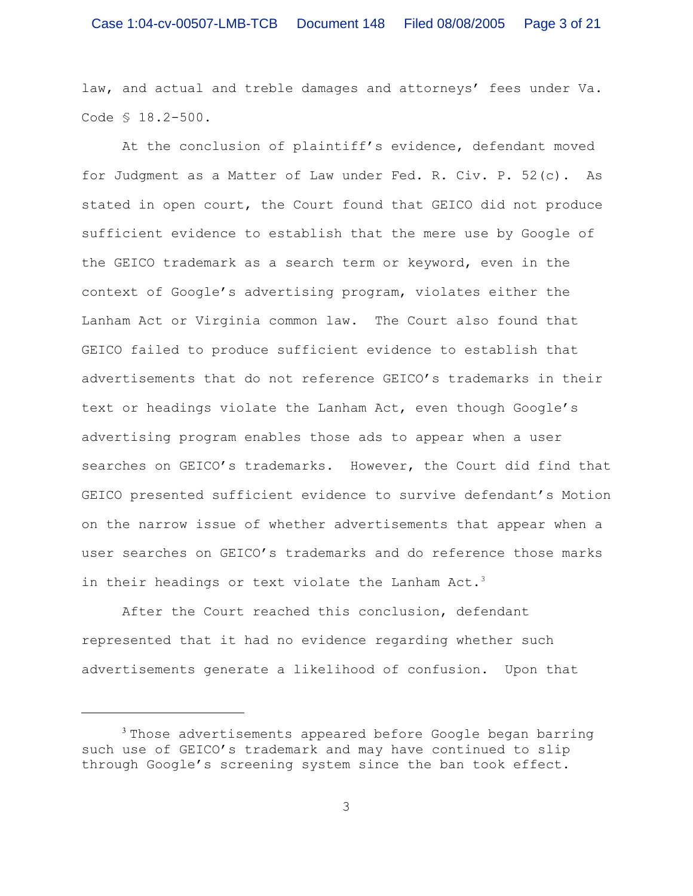law, and actual and treble damages and attorneys' fees under Va. Code § 18.2-500.

At the conclusion of plaintiff's evidence, defendant moved for Judgment as a Matter of Law under Fed. R. Civ. P. 52(c). As stated in open court, the Court found that GEICO did not produce sufficient evidence to establish that the mere use by Google of the GEICO trademark as a search term or keyword, even in the context of Google's advertising program, violates either the Lanham Act or Virginia common law. The Court also found that GEICO failed to produce sufficient evidence to establish that advertisements that do not reference GEICO's trademarks in their text or headings violate the Lanham Act, even though Google's advertising program enables those ads to appear when a user searches on GEICO's trademarks. However, the Court did find that GEICO presented sufficient evidence to survive defendant's Motion on the narrow issue of whether advertisements that appear when a user searches on GEICO's trademarks and do reference those marks in their headings or text violate the Lanham Act.<sup>3</sup>

After the Court reached this conclusion, defendant represented that it had no evidence regarding whether such advertisements generate a likelihood of confusion. Upon that

<sup>&</sup>lt;sup>3</sup> Those advertisements appeared before Google began barring such use of GEICO's trademark and may have continued to slip through Google's screening system since the ban took effect.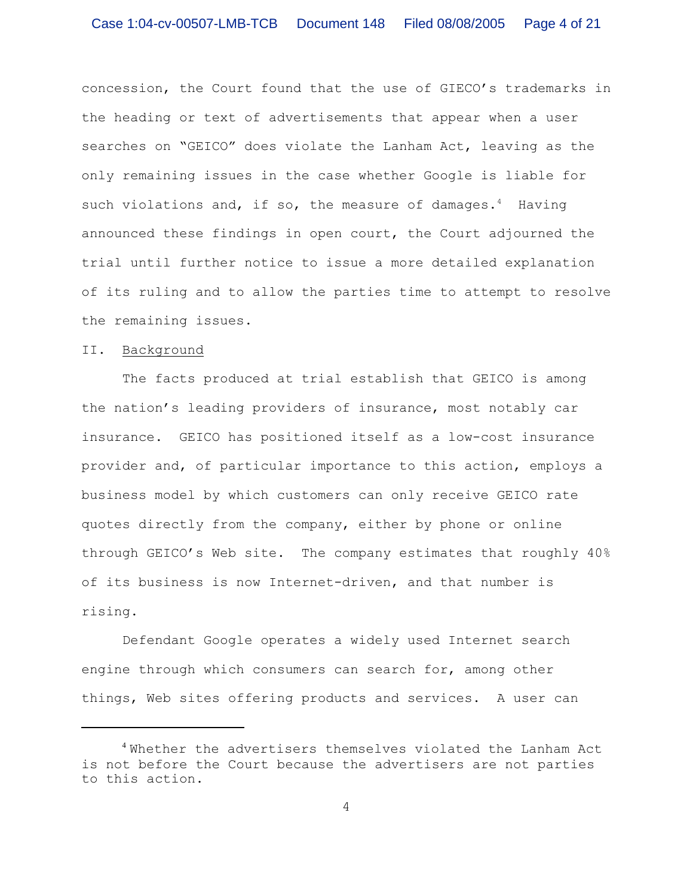concession, the Court found that the use of GIECO's trademarks in the heading or text of advertisements that appear when a user searches on "GEICO" does violate the Lanham Act, leaving as the only remaining issues in the case whether Google is liable for such violations and, if so, the measure of damages.<sup>4</sup> Having announced these findings in open court, the Court adjourned the trial until further notice to issue a more detailed explanation of its ruling and to allow the parties time to attempt to resolve the remaining issues.

## II. Background

The facts produced at trial establish that GEICO is among the nation's leading providers of insurance, most notably car insurance. GEICO has positioned itself as a low-cost insurance provider and, of particular importance to this action, employs a business model by which customers can only receive GEICO rate quotes directly from the company, either by phone or online through GEICO's Web site. The company estimates that roughly 40% of its business is now Internet-driven, and that number is rising.

Defendant Google operates a widely used Internet search engine through which consumers can search for, among other things, Web sites offering products and services. A user can

Whether the advertisers themselves violated the Lanham Act <sup>4</sup> is not before the Court because the advertisers are not parties to this action.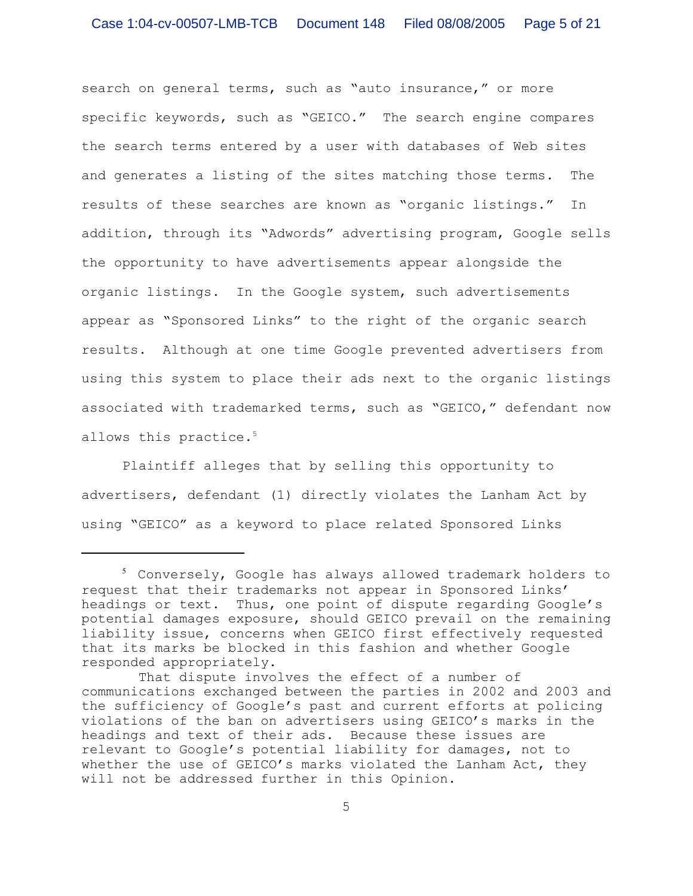search on general terms, such as "auto insurance," or more specific keywords, such as "GEICO." The search engine compares the search terms entered by a user with databases of Web sites and generates a listing of the sites matching those terms. The results of these searches are known as "organic listings." In addition, through its "Adwords" advertising program, Google sells the opportunity to have advertisements appear alongside the organic listings. In the Google system, such advertisements appear as "Sponsored Links" to the right of the organic search results. Although at one time Google prevented advertisers from using this system to place their ads next to the organic listings associated with trademarked terms, such as "GEICO," defendant now allows this practice.<sup>5</sup>

Plaintiff alleges that by selling this opportunity to advertisers, defendant (1) directly violates the Lanham Act by using "GEICO" as a keyword to place related Sponsored Links

<sup>&</sup>lt;sup>5</sup> Conversely, Google has always allowed trademark holders to request that their trademarks not appear in Sponsored Links' headings or text. Thus, one point of dispute regarding Google's potential damages exposure, should GEICO prevail on the remaining liability issue, concerns when GEICO first effectively requested that its marks be blocked in this fashion and whether Google responded appropriately.

That dispute involves the effect of a number of communications exchanged between the parties in 2002 and 2003 and the sufficiency of Google's past and current efforts at policing violations of the ban on advertisers using GEICO's marks in the headings and text of their ads. Because these issues are relevant to Google's potential liability for damages, not to whether the use of GEICO's marks violated the Lanham Act, they will not be addressed further in this Opinion.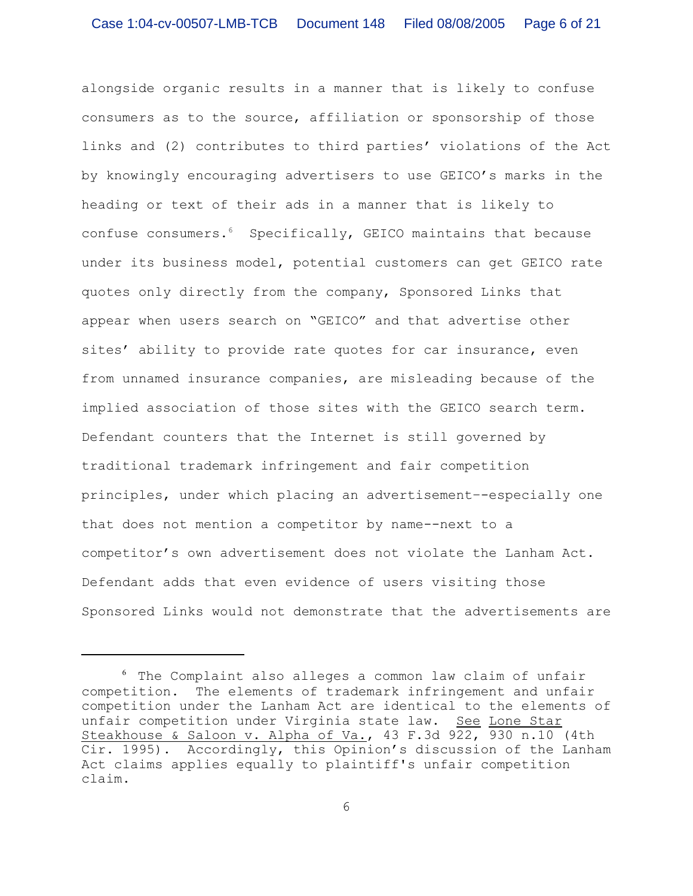alongside organic results in a manner that is likely to confuse consumers as to the source, affiliation or sponsorship of those links and (2) contributes to third parties' violations of the Act by knowingly encouraging advertisers to use GEICO's marks in the heading or text of their ads in a manner that is likely to confuse consumers. $6$  Specifically, GEICO maintains that because under its business model, potential customers can get GEICO rate quotes only directly from the company, Sponsored Links that appear when users search on "GEICO" and that advertise other sites' ability to provide rate quotes for car insurance, even from unnamed insurance companies, are misleading because of the implied association of those sites with the GEICO search term. Defendant counters that the Internet is still governed by traditional trademark infringement and fair competition principles, under which placing an advertisement–-especially one that does not mention a competitor by name--next to a competitor's own advertisement does not violate the Lanham Act. Defendant adds that even evidence of users visiting those Sponsored Links would not demonstrate that the advertisements are

 $6$  The Complaint also alleges a common law claim of unfair competition. The elements of trademark infringement and unfair competition under the Lanham Act are identical to the elements of unfair competition under Virginia state law. See Lone Star Steakhouse & Saloon v. Alpha of Va., 43 F.3d 922, 930 n.10 (4th Cir. 1995). Accordingly, this Opinion's discussion of the Lanham Act claims applies equally to plaintiff's unfair competition claim.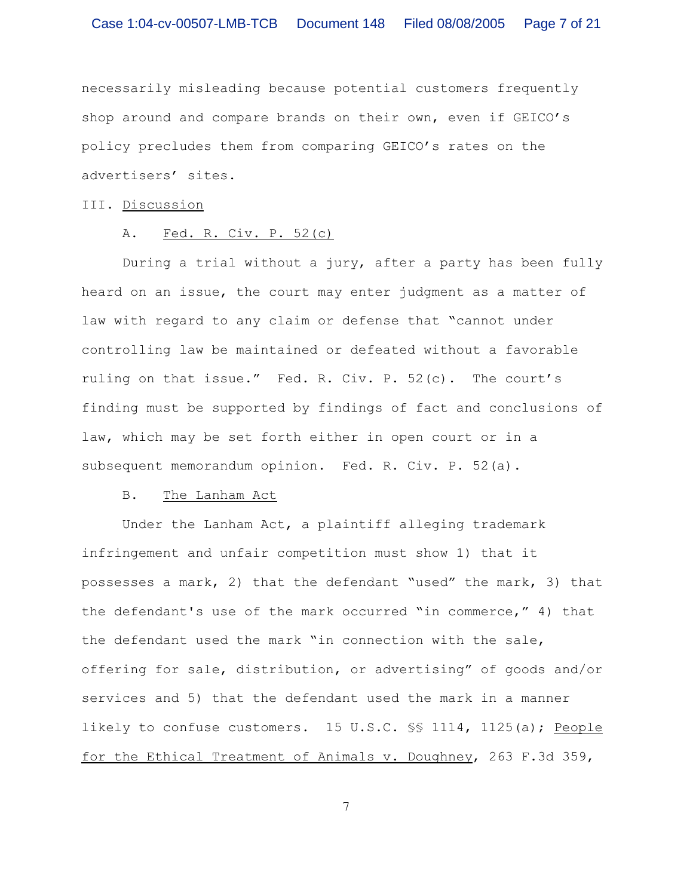necessarily misleading because potential customers frequently shop around and compare brands on their own, even if GEICO's policy precludes them from comparing GEICO's rates on the advertisers' sites.

## III. Discussion

### A. Fed. R. Civ. P. 52(c)

During a trial without a jury, after a party has been fully heard on an issue, the court may enter judgment as a matter of law with regard to any claim or defense that "cannot under controlling law be maintained or defeated without a favorable ruling on that issue." Fed. R. Civ. P. 52(c). The court's finding must be supported by findings of fact and conclusions of law, which may be set forth either in open court or in a subsequent memorandum opinion. Fed. R. Civ. P. 52(a).

#### B. The Lanham Act

Under the Lanham Act, a plaintiff alleging trademark infringement and unfair competition must show 1) that it possesses a mark, 2) that the defendant "used" the mark, 3) that the defendant's use of the mark occurred "in commerce," 4) that the defendant used the mark "in connection with the sale, offering for sale, distribution, or advertising" of goods and/or services and 5) that the defendant used the mark in a manner likely to confuse customers. 15 U.S.C. §§ 1114, 1125(a); People for the Ethical Treatment of Animals v. Doughney, 263 F.3d 359,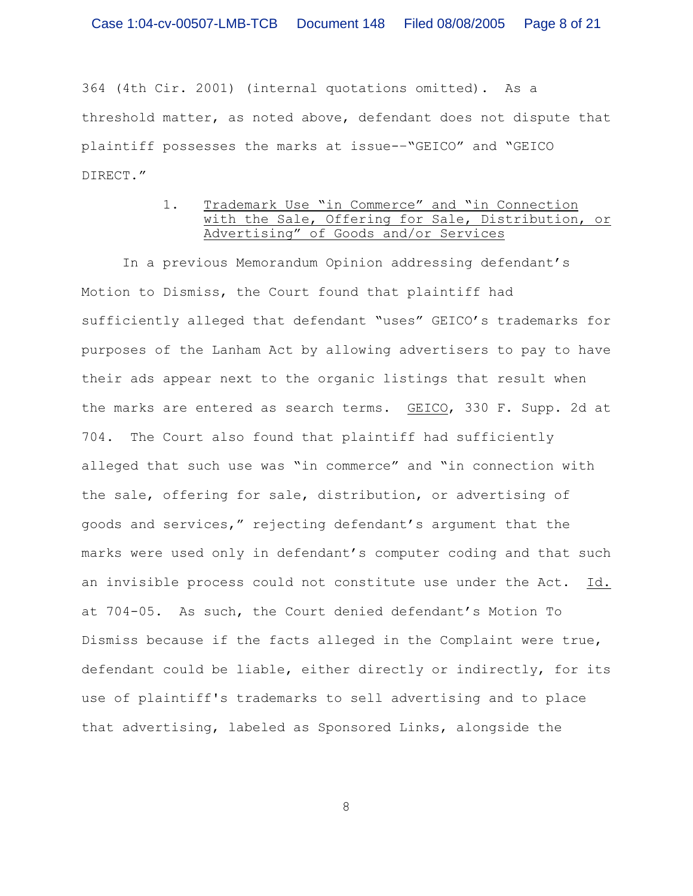364 (4th Cir. 2001) (internal quotations omitted). As a threshold matter, as noted above, defendant does not dispute that plaintiff possesses the marks at issue-–"GEICO" and "GEICO DIRECT."

## 1. Trademark Use "in Commerce" and "in Connection with the Sale, Offering for Sale, Distribution, or Advertising" of Goods and/or Services

In a previous Memorandum Opinion addressing defendant's Motion to Dismiss, the Court found that plaintiff had sufficiently alleged that defendant "uses" GEICO's trademarks for purposes of the Lanham Act by allowing advertisers to pay to have their ads appear next to the organic listings that result when the marks are entered as search terms. GEICO, 330 F. Supp. 2d at 704. The Court also found that plaintiff had sufficiently alleged that such use was "in commerce" and "in connection with the sale, offering for sale, distribution, or advertising of goods and services," rejecting defendant's argument that the marks were used only in defendant's computer coding and that such an invisible process could not constitute use under the Act. Id. at 704-05. As such, the Court denied defendant's Motion To Dismiss because if the facts alleged in the Complaint were true, defendant could be liable, either directly or indirectly, for its use of plaintiff's trademarks to sell advertising and to place that advertising, labeled as Sponsored Links, alongside the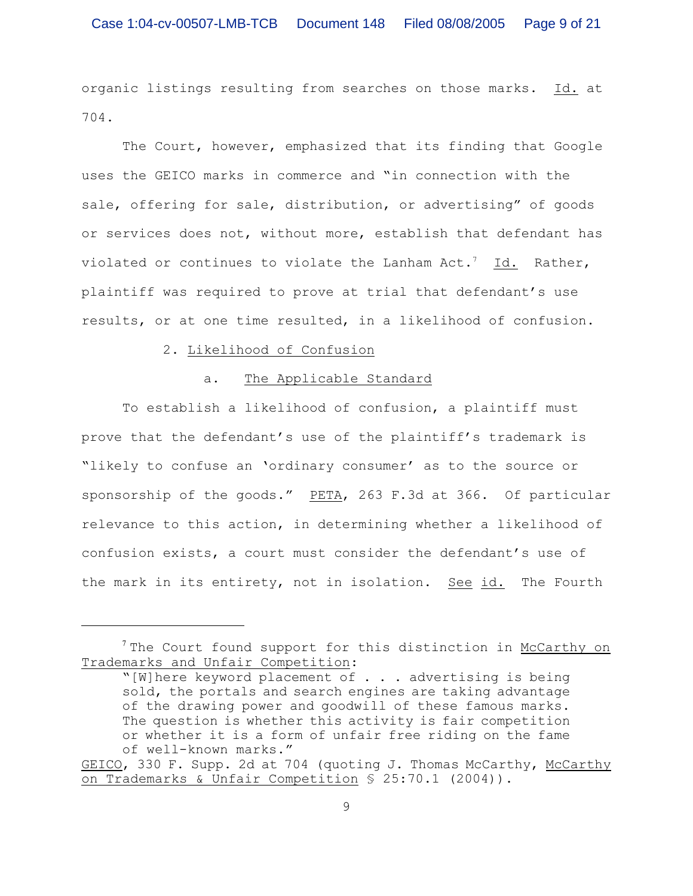organic listings resulting from searches on those marks. Id. at 704.

The Court, however, emphasized that its finding that Google uses the GEICO marks in commerce and "in connection with the sale, offering for sale, distribution, or advertising" of goods or services does not, without more, establish that defendant has violated or continues to violate the Lanham  $Act.^7$  Id. Rather, plaintiff was required to prove at trial that defendant's use results, or at one time resulted, in a likelihood of confusion.

## 2. Likelihood of Confusion

#### a. The Applicable Standard

To establish a likelihood of confusion, a plaintiff must prove that the defendant's use of the plaintiff's trademark is "likely to confuse an 'ordinary consumer' as to the source or sponsorship of the goods." PETA, 263 F.3d at 366. Of particular relevance to this action, in determining whether a likelihood of confusion exists, a court must consider the defendant's use of the mark in its entirety, not in isolation. See id. The Fourth

 $7$  The Court found support for this distinction in McCarthy on Trademarks and Unfair Competition:

<sup>&</sup>quot;[W]here keyword placement of . . . advertising is being sold, the portals and search engines are taking advantage of the drawing power and goodwill of these famous marks. The question is whether this activity is fair competition or whether it is a form of unfair free riding on the fame of well-known marks."

GEICO, 330 F. Supp. 2d at 704 (quoting J. Thomas McCarthy, McCarthy on Trademarks & Unfair Competition § 25:70.1 (2004)).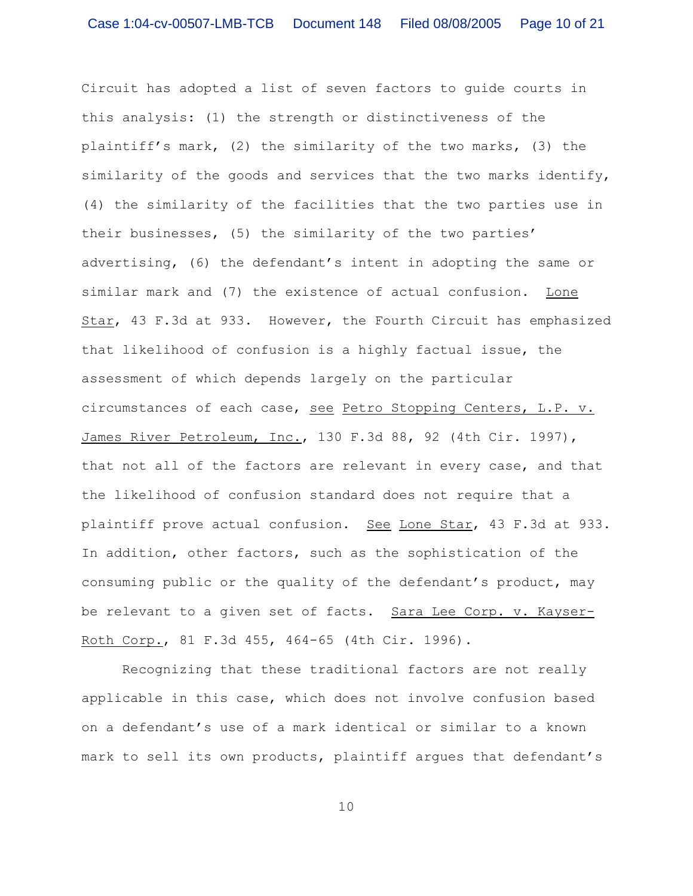Circuit has adopted a list of seven factors to guide courts in this analysis: (1) the strength or distinctiveness of the plaintiff's mark, (2) the similarity of the two marks, (3) the similarity of the goods and services that the two marks identify, (4) the similarity of the facilities that the two parties use in their businesses, (5) the similarity of the two parties' advertising, (6) the defendant's intent in adopting the same or similar mark and (7) the existence of actual confusion. Lone Star, 43 F.3d at 933. However, the Fourth Circuit has emphasized that likelihood of confusion is a highly factual issue, the assessment of which depends largely on the particular circumstances of each case, see Petro Stopping Centers, L.P. v. James River Petroleum, Inc., 130 F.3d 88, 92 (4th Cir. 1997), that not all of the factors are relevant in every case, and that the likelihood of confusion standard does not require that a plaintiff prove actual confusion. See Lone Star, 43 F.3d at 933. In addition, other factors, such as the sophistication of the consuming public or the quality of the defendant's product, may be relevant to a given set of facts. Sara Lee Corp. v. Kayser-Roth Corp., 81 F.3d 455, 464-65 (4th Cir. 1996).

Recognizing that these traditional factors are not really applicable in this case, which does not involve confusion based on a defendant's use of a mark identical or similar to a known mark to sell its own products, plaintiff argues that defendant's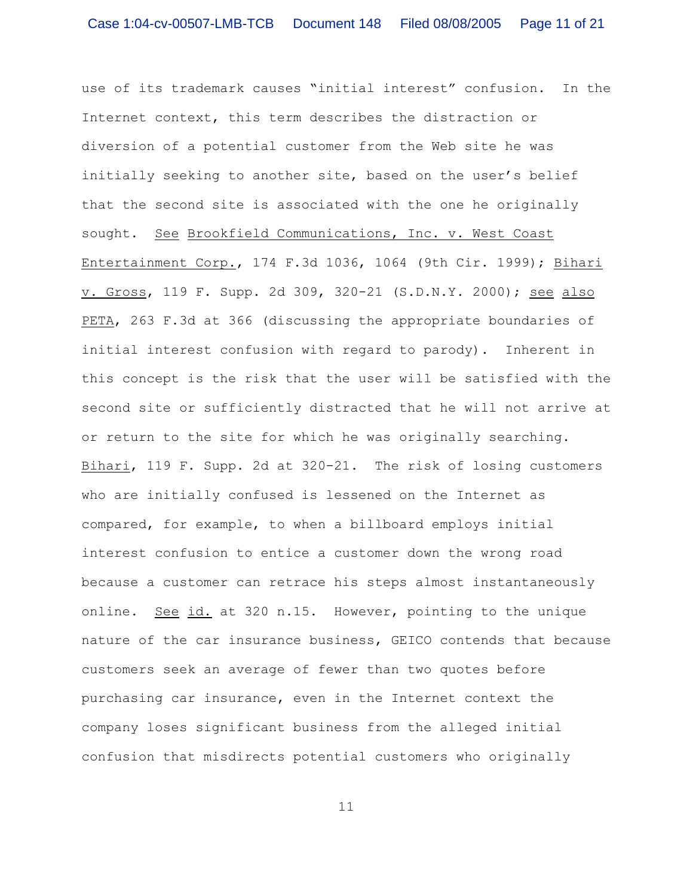use of its trademark causes "initial interest" confusion. In the Internet context, this term describes the distraction or diversion of a potential customer from the Web site he was initially seeking to another site, based on the user's belief that the second site is associated with the one he originally sought. See Brookfield Communications, Inc. v. West Coast Entertainment Corp., 174 F.3d 1036, 1064 (9th Cir. 1999); Bihari v. Gross, 119 F. Supp. 2d 309, 320-21 (S.D.N.Y. 2000); see also PETA, 263 F.3d at 366 (discussing the appropriate boundaries of initial interest confusion with regard to parody). Inherent in this concept is the risk that the user will be satisfied with the second site or sufficiently distracted that he will not arrive at or return to the site for which he was originally searching. Bihari, 119 F. Supp. 2d at 320-21. The risk of losing customers who are initially confused is lessened on the Internet as compared, for example, to when a billboard employs initial interest confusion to entice a customer down the wrong road because a customer can retrace his steps almost instantaneously online. See id. at 320 n.15. However, pointing to the unique nature of the car insurance business, GEICO contends that because customers seek an average of fewer than two quotes before purchasing car insurance, even in the Internet context the company loses significant business from the alleged initial confusion that misdirects potential customers who originally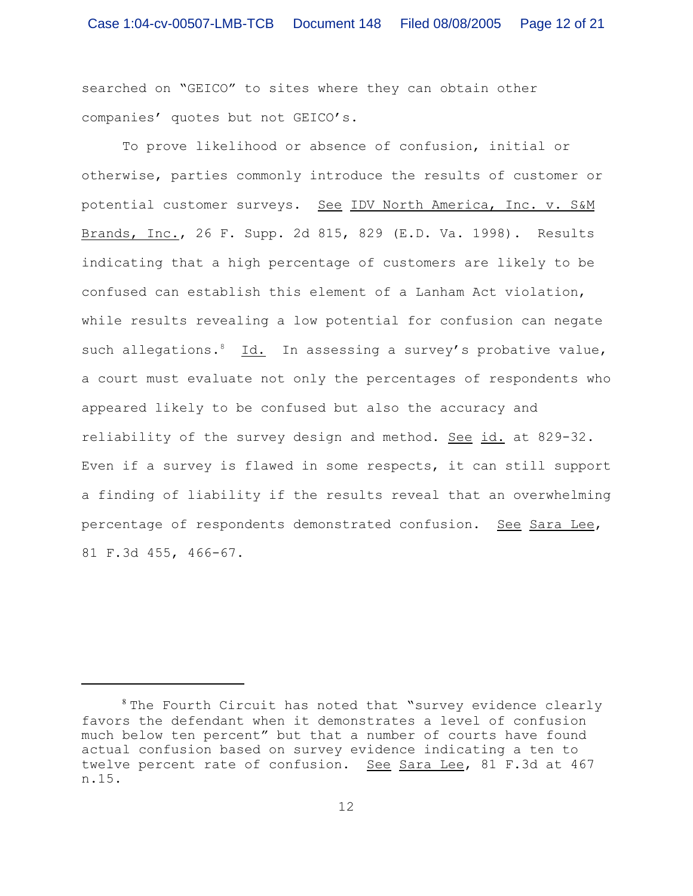searched on "GEICO" to sites where they can obtain other companies' quotes but not GEICO's.

To prove likelihood or absence of confusion, initial or otherwise, parties commonly introduce the results of customer or potential customer surveys. See IDV North America, Inc. v. S&M Brands, Inc., 26 F. Supp. 2d 815, 829 (E.D. Va. 1998). Results indicating that a high percentage of customers are likely to be confused can establish this element of a Lanham Act violation, while results revealing a low potential for confusion can negate such allegations. Id. In assessing a survey's probative value, a court must evaluate not only the percentages of respondents who appeared likely to be confused but also the accuracy and reliability of the survey design and method. See id. at 829-32. Even if a survey is flawed in some respects, it can still support a finding of liability if the results reveal that an overwhelming percentage of respondents demonstrated confusion. See Sara Lee, 81 F.3d 455, 466-67.

 $s$  The Fourth Circuit has noted that "survey evidence clearly favors the defendant when it demonstrates a level of confusion much below ten percent" but that a number of courts have found actual confusion based on survey evidence indicating a ten to twelve percent rate of confusion. See Sara Lee, 81 F.3d at 467 n.15.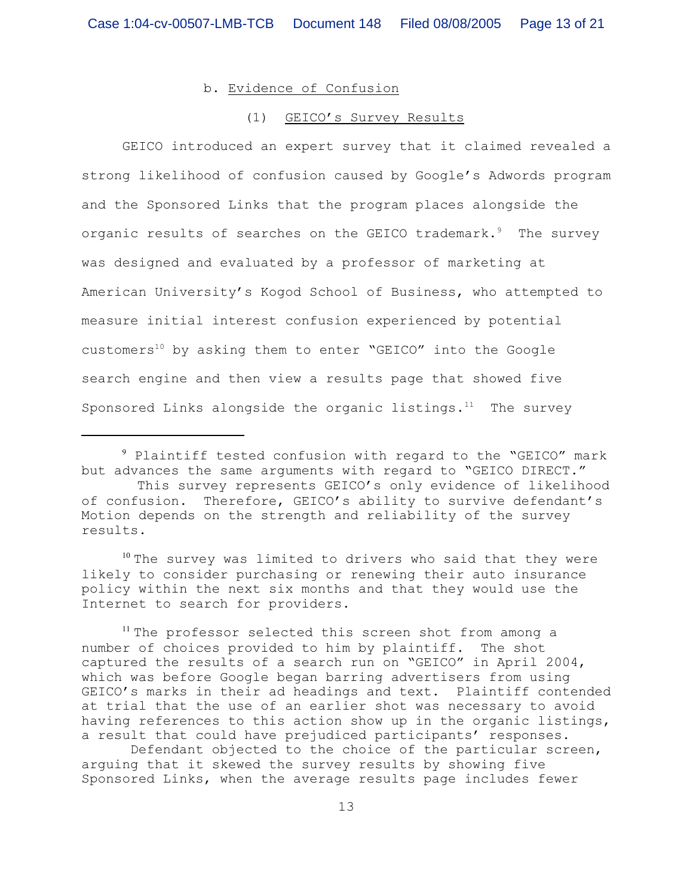# b. Evidence of Confusion

#### (1) GEICO's Survey Results

GEICO introduced an expert survey that it claimed revealed a strong likelihood of confusion caused by Google's Adwords program and the Sponsored Links that the program places alongside the organic results of searches on the GEICO trademark.<sup>9</sup> The survey was designed and evaluated by a professor of marketing at American University's Kogod School of Business, who attempted to measure initial interest confusion experienced by potential customers<sup>10</sup> by asking them to enter "GEICO" into the Google search engine and then view a results page that showed five Sponsored Links alongside the organic listings. $11$  The survey

 $10$  The survey was limited to drivers who said that they were likely to consider purchasing or renewing their auto insurance policy within the next six months and that they would use the Internet to search for providers.

 Defendant objected to the choice of the particular screen, arguing that it skewed the survey results by showing five Sponsored Links, when the average results page includes fewer

<sup>&</sup>lt;sup>9</sup> Plaintiff tested confusion with regard to the "GEICO" mark but advances the same arguments with regard to "GEICO DIRECT."

This survey represents GEICO's only evidence of likelihood of confusion. Therefore, GEICO's ability to survive defendant's Motion depends on the strength and reliability of the survey results.

 $11$  The professor selected this screen shot from among a number of choices provided to him by plaintiff. The shot captured the results of a search run on "GEICO" in April 2004, which was before Google began barring advertisers from using GEICO's marks in their ad headings and text. Plaintiff contended at trial that the use of an earlier shot was necessary to avoid having references to this action show up in the organic listings, a result that could have prejudiced participants' responses.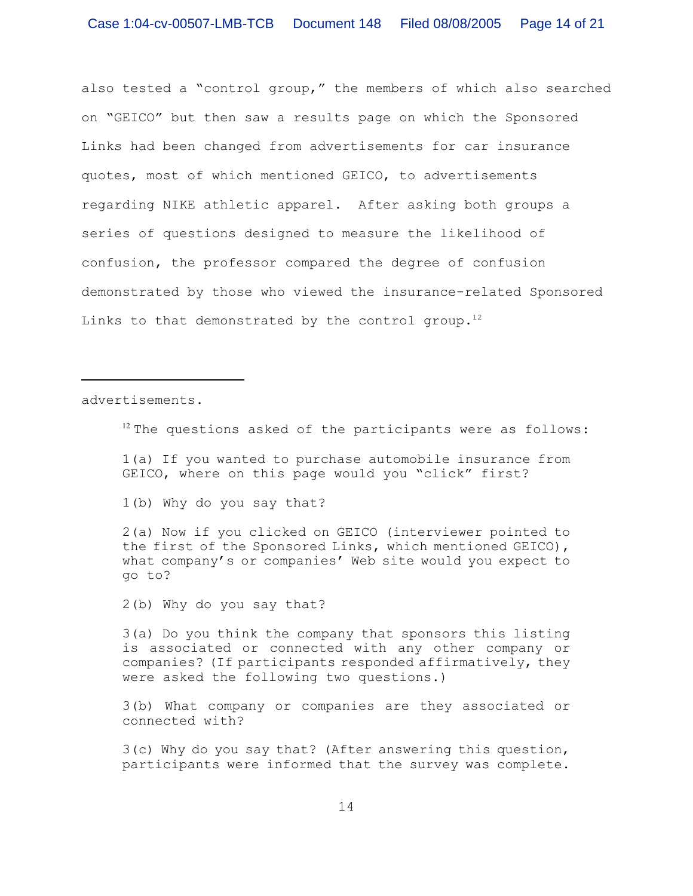also tested a "control group," the members of which also searched on "GEICO" but then saw a results page on which the Sponsored Links had been changed from advertisements for car insurance quotes, most of which mentioned GEICO, to advertisements regarding NIKE athletic apparel. After asking both groups a series of questions designed to measure the likelihood of confusion, the professor compared the degree of confusion demonstrated by those who viewed the insurance-related Sponsored Links to that demonstrated by the control group.<sup>12</sup>

advertisements.

 $12$  The questions asked of the participants were as follows:

1(a) If you wanted to purchase automobile insurance from GEICO, where on this page would you "click" first?

1(b) Why do you say that?

2(a) Now if you clicked on GEICO (interviewer pointed to the first of the Sponsored Links, which mentioned GEICO), what company's or companies' Web site would you expect to go to?

2(b) Why do you say that?

3(a) Do you think the company that sponsors this listing is associated or connected with any other company or companies? (If participants responded affirmatively, they were asked the following two questions.)

3(b) What company or companies are they associated or connected with?

3(c) Why do you say that? (After answering this question, participants were informed that the survey was complete.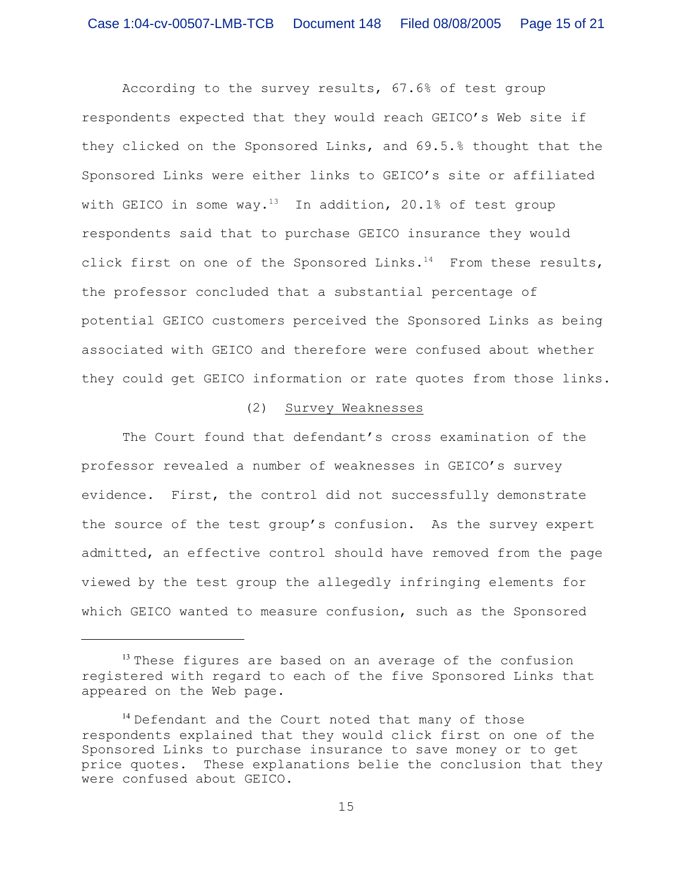According to the survey results, 67.6% of test group respondents expected that they would reach GEICO's Web site if they clicked on the Sponsored Links, and 69.5.% thought that the Sponsored Links were either links to GEICO's site or affiliated with GEICO in some way.<sup>13</sup> In addition, 20.1% of test group respondents said that to purchase GEICO insurance they would click first on one of the Sponsored Links.<sup>14</sup> From these results, the professor concluded that a substantial percentage of potential GEICO customers perceived the Sponsored Links as being associated with GEICO and therefore were confused about whether they could get GEICO information or rate quotes from those links.

## (2) Survey Weaknesses

The Court found that defendant's cross examination of the professor revealed a number of weaknesses in GEICO's survey evidence. First, the control did not successfully demonstrate the source of the test group's confusion. As the survey expert admitted, an effective control should have removed from the page viewed by the test group the allegedly infringing elements for which GEICO wanted to measure confusion, such as the Sponsored

 $13$  These figures are based on an average of the confusion registered with regard to each of the five Sponsored Links that appeared on the Web page.

 $14$  Defendant and the Court noted that many of those respondents explained that they would click first on one of the Sponsored Links to purchase insurance to save money or to get price quotes. These explanations belie the conclusion that they were confused about GEICO.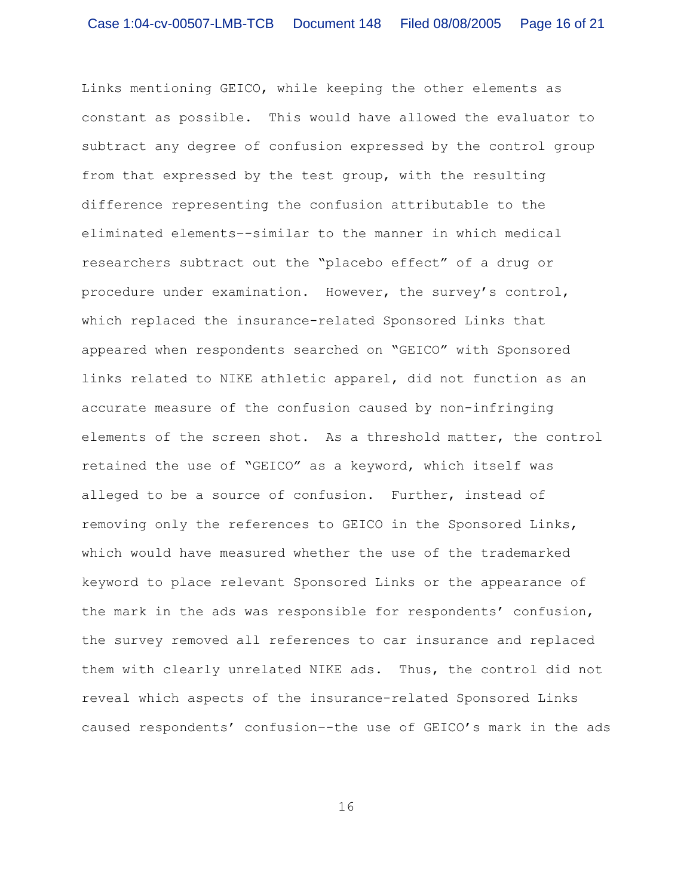Links mentioning GEICO, while keeping the other elements as constant as possible. This would have allowed the evaluator to subtract any degree of confusion expressed by the control group from that expressed by the test group, with the resulting difference representing the confusion attributable to the eliminated elements–-similar to the manner in which medical researchers subtract out the "placebo effect" of a drug or procedure under examination. However, the survey's control, which replaced the insurance-related Sponsored Links that appeared when respondents searched on "GEICO" with Sponsored links related to NIKE athletic apparel, did not function as an accurate measure of the confusion caused by non-infringing elements of the screen shot. As a threshold matter, the control retained the use of "GEICO" as a keyword, which itself was alleged to be a source of confusion. Further, instead of removing only the references to GEICO in the Sponsored Links, which would have measured whether the use of the trademarked keyword to place relevant Sponsored Links or the appearance of the mark in the ads was responsible for respondents' confusion, the survey removed all references to car insurance and replaced them with clearly unrelated NIKE ads. Thus, the control did not reveal which aspects of the insurance-related Sponsored Links caused respondents' confusion–-the use of GEICO's mark in the ads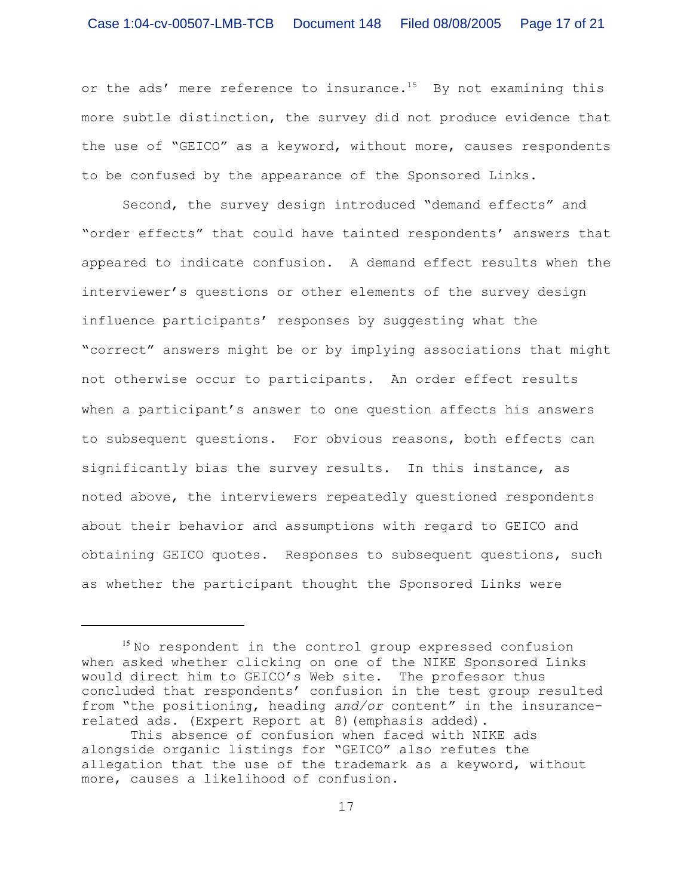or the ads' mere reference to insurance.<sup>15</sup> By not examining this more subtle distinction, the survey did not produce evidence that the use of "GEICO" as a keyword, without more, causes respondents to be confused by the appearance of the Sponsored Links.

Second, the survey design introduced "demand effects" and "order effects" that could have tainted respondents' answers that appeared to indicate confusion. A demand effect results when the interviewer's questions or other elements of the survey design influence participants' responses by suggesting what the "correct" answers might be or by implying associations that might not otherwise occur to participants.An order effect results when a participant's answer to one question affects his answers to subsequent questions. For obvious reasons, both effects can significantly bias the survey results. In this instance, as noted above, the interviewers repeatedly questioned respondents about their behavior and assumptions with regard to GEICO and obtaining GEICO quotes. Responses to subsequent questions, such as whether the participant thought the Sponsored Links were

 $15$  No respondent in the control group expressed confusion when asked whether clicking on one of the NIKE Sponsored Links would direct him to GEICO's Web site. The professor thus concluded that respondents' confusion in the test group resulted from "the positioning, heading *and/or* content" in the insurancerelated ads. (Expert Report at 8)(emphasis added).

This absence of confusion when faced with NIKE ads alongside organic listings for "GEICO" also refutes the allegation that the use of the trademark as a keyword, without more, causes a likelihood of confusion.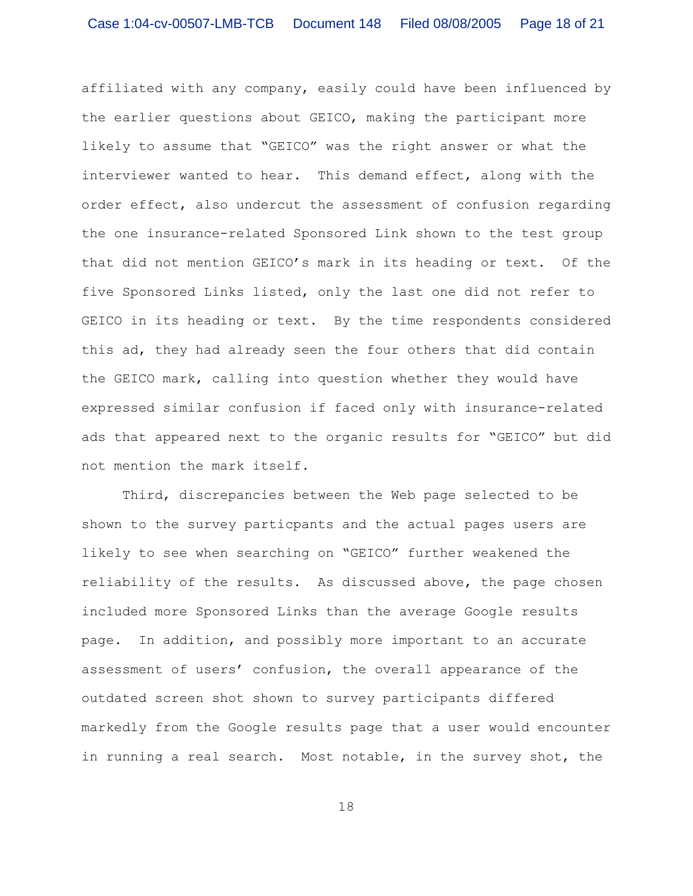affiliated with any company, easily could have been influenced by the earlier questions about GEICO, making the participant more likely to assume that "GEICO" was the right answer or what the interviewer wanted to hear. This demand effect, along with the order effect, also undercut the assessment of confusion regarding the one insurance-related Sponsored Link shown to the test group that did not mention GEICO's mark in its heading or text. Of the five Sponsored Links listed, only the last one did not refer to GEICO in its heading or text. By the time respondents considered this ad, they had already seen the four others that did contain the GEICO mark, calling into question whether they would have expressed similar confusion if faced only with insurance-related ads that appeared next to the organic results for "GEICO" but did not mention the mark itself.

Third, discrepancies between the Web page selected to be shown to the survey particpants and the actual pages users are likely to see when searching on "GEICO" further weakened the reliability of the results. As discussed above, the page chosen included more Sponsored Links than the average Google results page. In addition, and possibly more important to an accurate assessment of users' confusion, the overall appearance of the outdated screen shot shown to survey participants differed markedly from the Google results page that a user would encounter in running a real search. Most notable, in the survey shot, the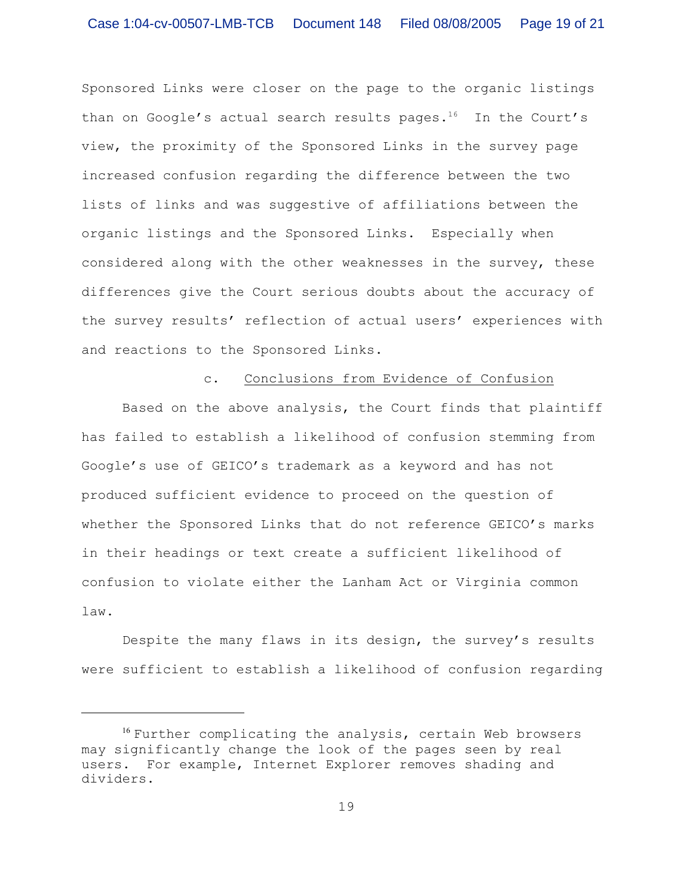Sponsored Links were closer on the page to the organic listings than on Google's actual search results pages.<sup>16</sup> In the Court's view, the proximity of the Sponsored Links in the survey page increased confusion regarding the difference between the two lists of links and was suggestive of affiliations between the organic listings and the Sponsored Links. Especially when considered along with the other weaknesses in the survey, these differences give the Court serious doubts about the accuracy of the survey results' reflection of actual users' experiences with and reactions to the Sponsored Links.

#### c. Conclusions from Evidence of Confusion

Based on the above analysis, the Court finds that plaintiff has failed to establish a likelihood of confusion stemming from Google's use of GEICO's trademark as a keyword and has not produced sufficient evidence to proceed on the question of whether the Sponsored Links that do not reference GEICO's marks in their headings or text create a sufficient likelihood of confusion to violate either the Lanham Act or Virginia common law.

Despite the many flaws in its design, the survey's results were sufficient to establish a likelihood of confusion regarding

 $16$  Further complicating the analysis, certain Web browsers may significantly change the look of the pages seen by real users. For example, Internet Explorer removes shading and dividers.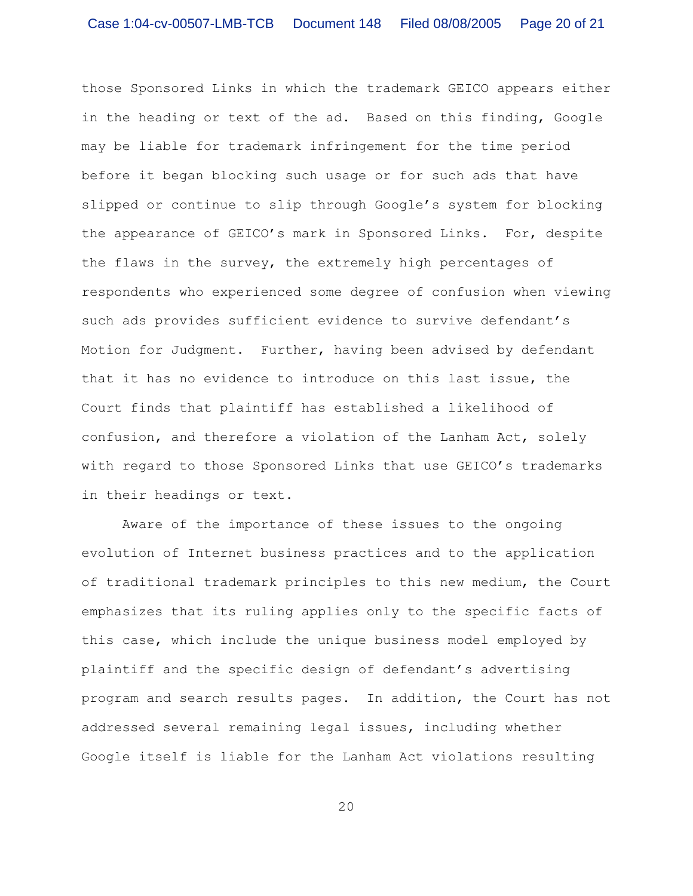those Sponsored Links in which the trademark GEICO appears either in the heading or text of the ad. Based on this finding, Google may be liable for trademark infringement for the time period before it began blocking such usage or for such ads that have slipped or continue to slip through Google's system for blocking the appearance of GEICO's mark in Sponsored Links. For, despite the flaws in the survey, the extremely high percentages of respondents who experienced some degree of confusion when viewing such ads provides sufficient evidence to survive defendant's Motion for Judgment. Further, having been advised by defendant that it has no evidence to introduce on this last issue, the Court finds that plaintiff has established a likelihood of confusion, and therefore a violation of the Lanham Act, solely with regard to those Sponsored Links that use GEICO's trademarks in their headings or text.

Aware of the importance of these issues to the ongoing evolution of Internet business practices and to the application of traditional trademark principles to this new medium, the Court emphasizes that its ruling applies only to the specific facts of this case, which include the unique business model employed by plaintiff and the specific design of defendant's advertising program and search results pages. In addition, the Court has not addressed several remaining legal issues, including whether Google itself is liable for the Lanham Act violations resulting